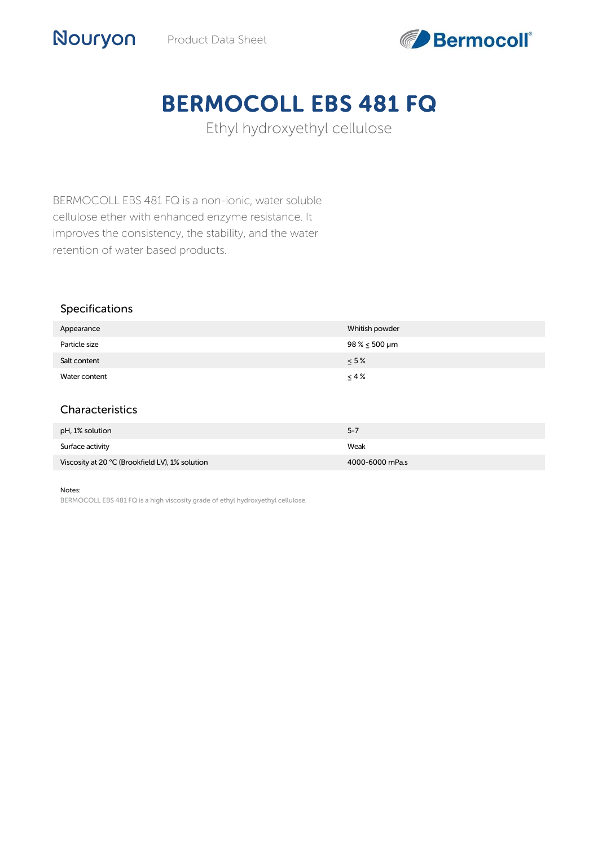

# BERMOCOLL EBS 481 FQ

Ethyl hydroxyethyl cellulose

BERMOCOLL EBS 481 FQ is a non-ionic, water soluble cellulose ether with enhanced enzyme resistance. It improves the consistency, the stability, and the water retention of water based products.

#### Specifications

Nouryon

| Appearance       | Whitish powder         |
|------------------|------------------------|
| Particle size    | $98\% \le 500 \,\mu m$ |
| Salt content     | $\leq 5\%$             |
| Water content    | $\leq 4\%$             |
|                  |                        |
| Characteristics  |                        |
| pH, 1% solution  | $5 - 7$                |
| Surface activity | Weak                   |

#### Notes:

BERMOCOLL EBS 481 FQ is a high viscosity grade of ethyl hydroxyethyl cellulose.

Viscosity at 20 °C (Brookfield LV), 1% solution 4000-6000 mPa.s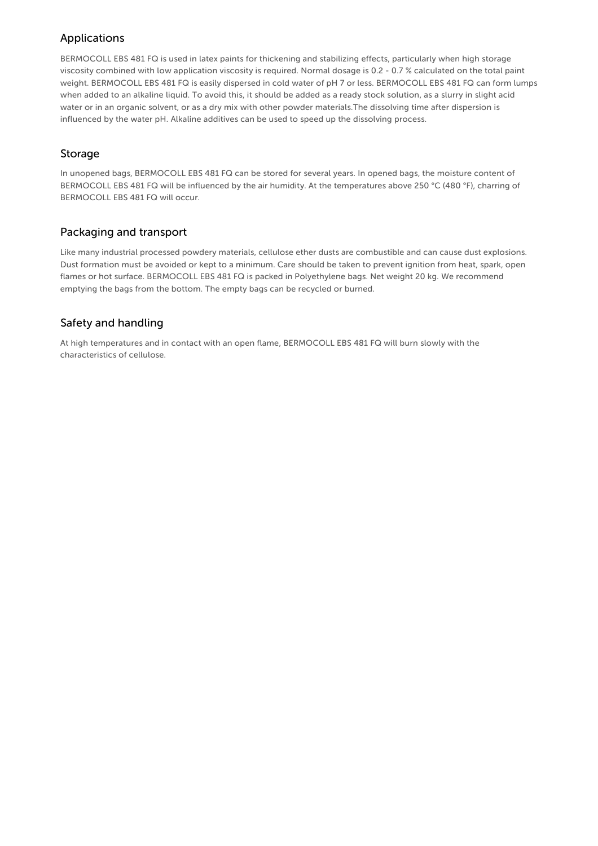# Applications

BERMOCOLL EBS 481 FQ is used in latex paints for thickening and stabilizing effects, particularly when high storage viscosity combined with low application viscosity is required. Normal dosage is 0.2 - 0.7 % calculated on the total paint weight. BERMOCOLL EBS 481 FQ is easily dispersed in cold water of pH 7 or less. BERMOCOLL EBS 481 FQ can form lumps when added to an alkaline liquid. To avoid this, it should be added as a ready stock solution, as a slurry in slight acid water or in an organic solvent, or as a dry mix with other powder materials.The dissolving time after dispersion is influenced by the water pH. Alkaline additives can be used to speed up the dissolving process.

#### Storage

In unopened bags, BERMOCOLL EBS 481 FQ can be stored for several years. In opened bags, the moisture content of BERMOCOLL EBS 481 FQ will be influenced by the air humidity. At the temperatures above 250 °C (480 °F), charring of BERMOCOLL EBS 481 FQ will occur.

### Packaging and transport

Like many industrial processed powdery materials, cellulose ether dusts are combustible and can cause dust explosions. Dust formation must be avoided or kept to a minimum. Care should be taken to prevent ignition from heat, spark, open flames or hot surface. BERMOCOLL EBS 481 FQ is packed in Polyethylene bags. Net weight 20 kg. We recommend emptying the bags from the bottom. The empty bags can be recycled or burned.

# Safety and handling

At high temperatures and in contact with an open flame, BERMOCOLL EBS 481 FQ will burn slowly with the characteristics of cellulose.